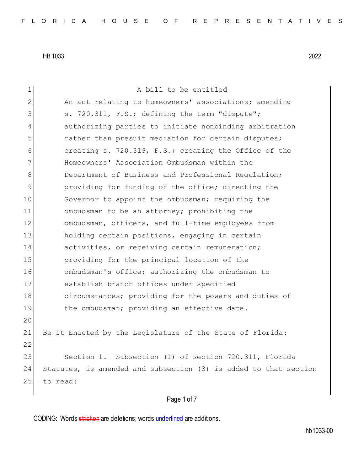| $\mathbf 1$   | A bill to be entitled                                            |
|---------------|------------------------------------------------------------------|
| 2             | An act relating to homeowners' associations; amending            |
| 3             | s. 720.311, F.S.; defining the term "dispute";                   |
| 4             | authorizing parties to initiate nonbinding arbitration           |
| 5             | rather than presuit mediation for certain disputes;              |
| 6             | creating s. 720.319, F.S.; creating the Office of the            |
| 7             | Homeowners' Association Ombudsman within the                     |
| 8             | Department of Business and Professional Regulation;              |
| $\mathcal{G}$ | providing for funding of the office; directing the               |
| 10            | Governor to appoint the ombudsman; requiring the                 |
| 11            | ombudsman to be an attorney; prohibiting the                     |
| 12            | ombudsman, officers, and full-time employees from                |
| 13            | holding certain positions, engaging in certain                   |
| 14            | activities, or receiving certain remuneration;                   |
| 15            | providing for the principal location of the                      |
| 16            | ombudsman's office; authorizing the ombudsman to                 |
| 17            | establish branch offices under specified                         |
| 18            | circumstances; providing for the powers and duties of            |
| 19            | the ombudsman; providing an effective date.                      |
| 20            |                                                                  |
| 21            | Be It Enacted by the Legislature of the State of Florida:        |
| 22            |                                                                  |
| 23            | Section 1. Subsection (1) of section 720.311, Florida            |
| 24            | Statutes, is amended and subsection (3) is added to that section |
| 25            | to read:                                                         |
|               |                                                                  |

# Page 1 of 7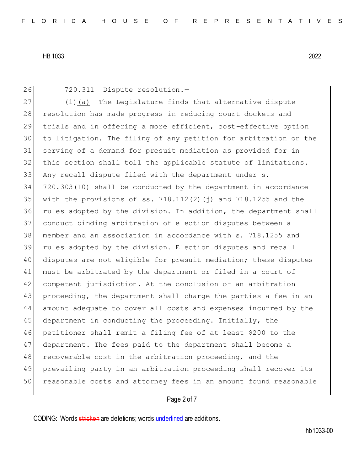26 720.311 Dispute resolution.-

27 (1)(a) The Legislature finds that alternative dispute 28 resolution has made progress in reducing court dockets and trials and in offering a more efficient, cost-effective option to litigation. The filing of any petition for arbitration or the serving of a demand for presuit mediation as provided for in this section shall toll the applicable statute of limitations. Any recall dispute filed with the department under s. 720.303(10) shall be conducted by the department in accordance 35 with the provisions of ss.  $718.112(2)$  (j) and  $718.1255$  and the rules adopted by the division. In addition, the department shall conduct binding arbitration of election disputes between a member and an association in accordance with s. 718.1255 and rules adopted by the division. Election disputes and recall disputes are not eligible for presuit mediation; these disputes 41 must be arbitrated by the department or filed in a court of competent jurisdiction. At the conclusion of an arbitration proceeding, the department shall charge the parties a fee in an amount adequate to cover all costs and expenses incurred by the 45 department in conducting the proceeding. Initially, the petitioner shall remit a filing fee of at least \$200 to the department. The fees paid to the department shall become a 48 recoverable cost in the arbitration proceeding, and the prevailing party in an arbitration proceeding shall recover its reasonable costs and attorney fees in an amount found reasonable

## Page 2 of 7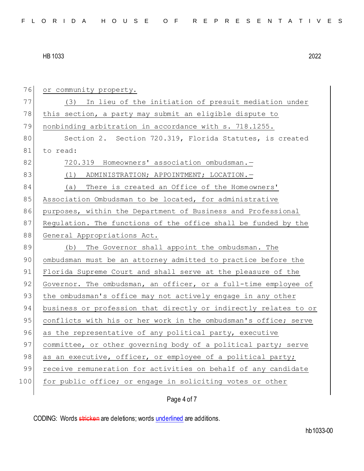| 76  | or community property.                                           |
|-----|------------------------------------------------------------------|
| 77  | (3) In lieu of the initiation of presuit mediation under         |
| 78  | this section, a party may submit an eligible dispute to          |
| 79  | nonbinding arbitration in accordance with s. 718.1255.           |
| 80  | Section 2. Section 720.319, Florida Statutes, is created         |
| 81  | to read:                                                         |
| 82  | 720.319 Homeowners' association ombudsman.-                      |
| 83  | (1) ADMINISTRATION; APPOINTMENT; LOCATION. -                     |
| 84  | (a) There is created an Office of the Homeowners'                |
| 85  | Association Ombudsman to be located, for administrative          |
| 86  | purposes, within the Department of Business and Professional     |
| 87  | Regulation. The functions of the office shall be funded by the   |
| 88  | General Appropriations Act.                                      |
| 89  | (b) The Governor shall appoint the ombudsman. The                |
| 90  | ombudsman must be an attorney admitted to practice before the    |
| 91  | Florida Supreme Court and shall serve at the pleasure of the     |
| 92  | Governor. The ombudsman, an officer, or a full-time employee of  |
| 93  | the ombudsman's office may not actively engage in any other      |
| 94  | business or profession that directly or indirectly relates to or |
| 95  | conflicts with his or her work in the ombudsman's office; serve  |
| 96  | as the representative of any political party, executive          |
| 97  | committee, or other governing body of a political party; serve   |
| 98  | as an executive, officer, or employee of a political party;      |
| 99  | receive remuneration for activities on behalf of any candidate   |
| 100 | for public office; or engage in soliciting votes or other        |
|     | Page 4 of 7                                                      |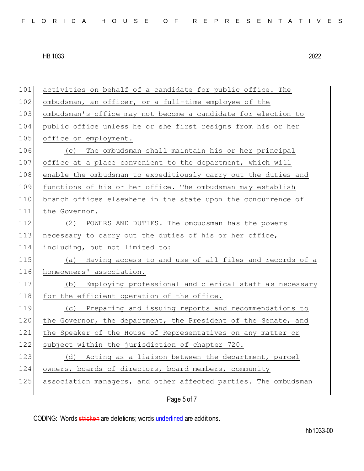| 101   | activities on behalf of a candidate for public office. The      |
|-------|-----------------------------------------------------------------|
| 102   | ombudsman, an officer, or a full-time employee of the           |
| 103   | ombudsman's office may not become a candidate for election to   |
| 104   | public office unless he or she first resigns from his or her    |
| 105   | office or employment.                                           |
| 106   | The ombudsman shall maintain his or her principal<br>(C)        |
| 107   | office at a place convenient to the department, which will      |
| 108   | enable the ombudsman to expeditiously carry out the duties and  |
| 109   | functions of his or her office. The ombudsman may establish     |
| 110   | branch offices elsewhere in the state upon the concurrence of   |
| 111   | the Governor.                                                   |
| 112   | POWERS AND DUTIES. - The ombudsman has the powers<br>(2)        |
| 113   | necessary to carry out the duties of his or her office,         |
| 114   | including, but not limited to:                                  |
| 115   | (a) Having access to and use of all files and records of a      |
| 116   | homeowners' association.                                        |
| $117$ | (b) Employing professional and clerical staff as necessary      |
| 118   | for the efficient operation of the office.                      |
| 119   | (c) Preparing and issuing reports and recommendations to        |
| 120   | the Governor, the department, the President of the Senate, and  |
| 121   | the Speaker of the House of Representatives on any matter or    |
| 122   | subject within the jurisdiction of chapter 720.                 |
| 123   | Acting as a liaison between the department, parcel<br>(d)       |
| 124   | owners, boards of directors, board members, community           |
| 125   | association managers, and other affected parties. The ombudsman |
|       |                                                                 |
|       | Page 5 of 7                                                     |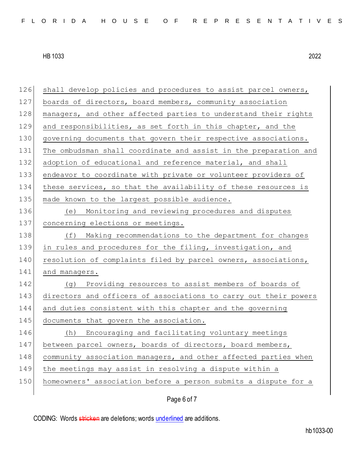| 126 | shall develop policies and procedures to assist parcel owners,   |
|-----|------------------------------------------------------------------|
| 127 | boards of directors, board members, community association        |
| 128 | managers, and other affected parties to understand their rights  |
| 129 | and responsibilities, as set forth in this chapter, and the      |
| 130 | governing documents that govern their respective associations.   |
| 131 | The ombudsman shall coordinate and assist in the preparation and |
| 132 | adoption of educational and reference material, and shall        |
| 133 | endeavor to coordinate with private or volunteer providers of    |
| 134 | these services, so that the availability of these resources is   |
| 135 | made known to the largest possible audience.                     |
| 136 | (e) Monitoring and reviewing procedures and disputes             |
| 137 | concerning elections or meetings.                                |
| 138 | (f) Making recommendations to the department for changes         |
| 139 | in rules and procedures for the filing, investigation, and       |
| 140 | resolution of complaints filed by parcel owners, associations,   |
| 141 | and managers.                                                    |
| 142 | (g) Providing resources to assist members of boards of           |
| 143 | directors and officers of associations to carry out their powers |
| 144 | and duties consistent with this chapter and the governing        |
| 145 | documents that govern the association.                           |
| 146 | Encouraging and facilitating voluntary meetings<br>(h)           |
| 147 | between parcel owners, boards of directors, board members,       |
| 148 | community association managers, and other affected parties when  |
| 149 | the meetings may assist in resolving a dispute within a          |
| 150 | homeowners' association before a person submits a dispute for a  |
|     |                                                                  |

Page 6 of 7